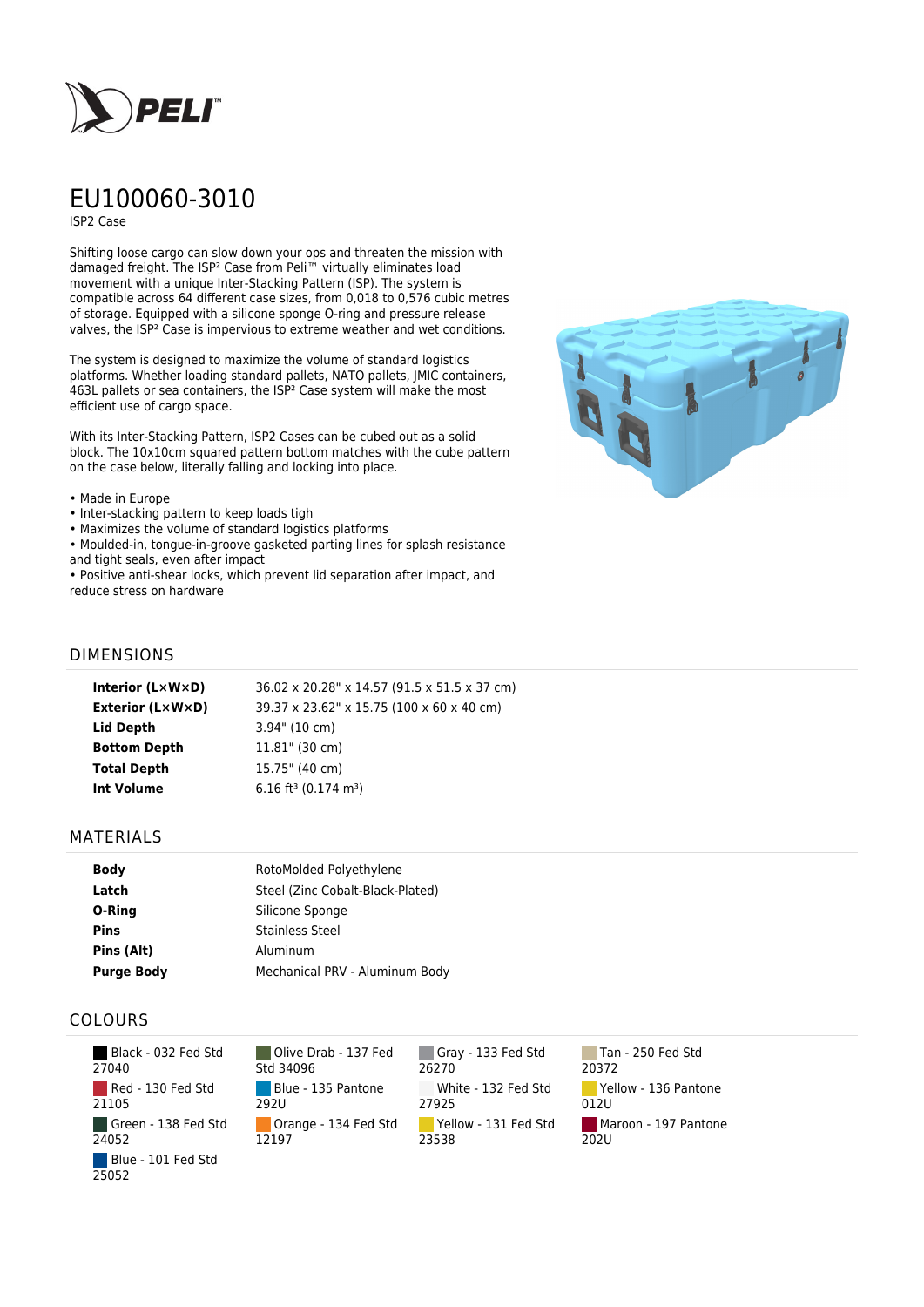

# EU100060-3010

ISP2 Case

Shifting loose cargo can slow down your ops and threaten the mission with damaged freight. The ISP² Case from Peli™ virtually eliminates load movement with a unique Inter-Stacking Pattern (ISP). The system is compatible across 64 different case sizes, from 0,018 to 0,576 cubic metres of storage. Equipped with a silicone sponge O-ring and pressure release valves, the ISP² Case is impervious to extreme weather and wet conditions.

The system is designed to maximize the volume of standard logistics platforms. Whether loading standard pallets, NATO pallets, JMIC containers, 463L pallets or sea containers, the ISP² Case system will make the most efficient use of cargo space.

With its Inter-Stacking Pattern, ISP2 Cases can be cubed out as a solid block. The 10x10cm squared pattern bottom matches with the cube pattern on the case below, literally falling and locking into place.

#### • Made in Europe

- Inter-stacking pattern to keep loads tigh
- Maximizes the volume of standard logistics platforms
- Moulded-in, tongue-in-groove gasketed parting lines for splash resistance and tight seals, even after impact
- Positive anti-shear locks, which prevent lid separation after impact, and reduce stress on hardware



## DIMENSIONS

| 39.37 x 23.62" x 15.75 (100 x 60 x 40 cm)<br><b>Exterior (L×W×D)</b><br>Lid Depth<br>$3.94$ " (10 cm)<br>$11.81$ " (30 cm)<br><b>Bottom Depth</b><br><b>Total Depth</b><br>15.75" (40 cm) |
|-------------------------------------------------------------------------------------------------------------------------------------------------------------------------------------------|
|                                                                                                                                                                                           |
|                                                                                                                                                                                           |
|                                                                                                                                                                                           |
|                                                                                                                                                                                           |
| 6.16 ft <sup>3</sup> (0.174 m <sup>3</sup> )<br>Int Volume                                                                                                                                |

### MATERIALS

| <b>Body</b>       | RotoMolded Polyethylene          |
|-------------------|----------------------------------|
| Latch             | Steel (Zinc Cobalt-Black-Plated) |
| O-Ring            | Silicone Sponge                  |
| <b>Pins</b>       | <b>Stainless Steel</b>           |
| Pins (Alt)        | Aluminum                         |
| <b>Purge Body</b> | Mechanical PRV - Aluminum Body   |

## COLOURS

| Black - 032 Fed Std<br>27040 |
|------------------------------|
| Red - 130 Fed Std<br>21105   |
| Green - 138 Fed Std<br>24052 |
| Blue - 101 Fed Std<br>25052  |

Olive Drab - 137 Fed Std 34096 Blue - 135 Pantone 292U Orange - 134 Fed Std 12197

Gray - 133 Fed Std 26270 White - 132 Fed Std 27925 Yellow - 131 Fed Std 23538

Tan - 250 Fed Std 20372 Yellow - 136 Pantone 012U Maroon - 197 Pantone 202U